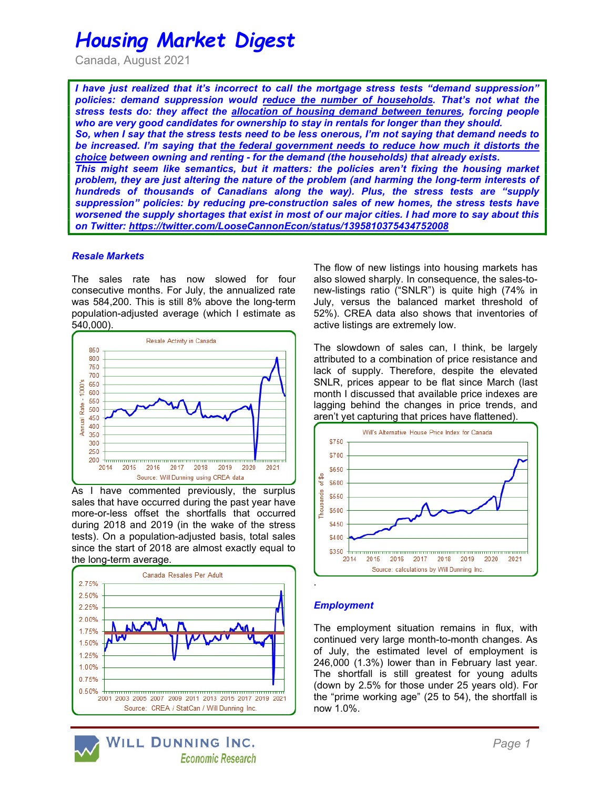# Housing Market Digest

Canada, August 2021

I have just realized that it's incorrect to call the mortgage stress tests "demand suppression" policies: demand suppression would reduce the number of households. That's not what the stress tests do: they affect the allocation of housing demand between tenures, forcing people who are very good candidates for ownership to stay in rentals for longer than they should. So, when I say that the stress tests need to be less onerous, I'm not saying that demand needs to be increased. I'm saying that the federal government needs to reduce how much it distorts the choice between owning and renting - for the demand (the households) that already exists. This might seem like semantics, but it matters: the policies aren't fixing the housing market problem, they are just altering the nature of the problem (and harming the long-term interests of hundreds of thousands of Canadians along the way). Plus, the stress tests are "supply suppression" policies: by reducing pre-construction sales of new homes, the stress tests have worsened the supply shortages that exist in most of our major cities. I had more to say about this on Twitter: https://twitter.com/LooseCannonEcon/status/1395810375434752008

## Resale Markets

The sales rate has now slowed for four consecutive months. For July, the annualized rate was 584,200. This is still 8% above the long-term population-adjusted average (which I estimate as 540,000).



As I have commented previously, the surplus sales that have occurred during the past year have more-or-less offset the shortfalls that occurred during 2018 and 2019 (in the wake of the stress tests). On a population-adjusted basis, total sales since the start of 2018 are almost exactly equal to the long-term average.



The flow of new listings into housing markets has also slowed sharply. In consequence, the sales-tonew-listings ratio ("SNLR") is quite high (74% in July, versus the balanced market threshold of 52%). CREA data also shows that inventories of active listings are extremely low.

The slowdown of sales can, I think, be largely attributed to a combination of price resistance and lack of supply. Therefore, despite the elevated SNLR, prices appear to be flat since March (last month I discussed that available price indexes are lagging behind the changes in price trends, and aren't yet capturing that prices have flattened).



# **Employment**

The employment situation remains in flux, with continued very large month-to-month changes. As of July, the estimated level of employment is 246,000 (1.3%) lower than in February last year. The shortfall is still greatest for young adults (down by 2.5% for those under 25 years old). For the "prime working age" (25 to 54), the shortfall is now 1.0%.